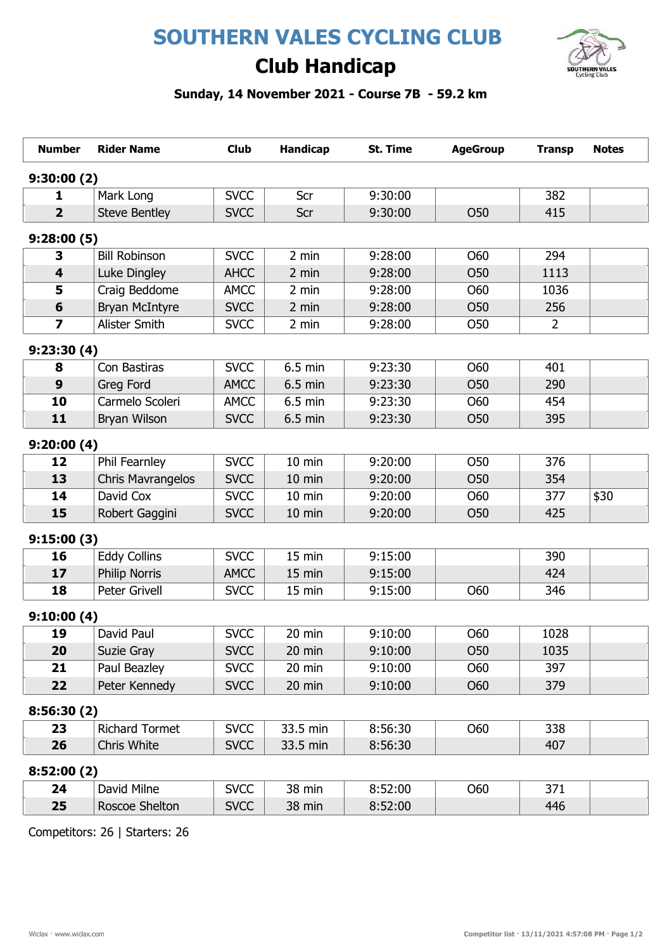# SOUTHERN VALES CYCLING CLUB



# Club Handicap

### Sunday, 14 November 2021 - Course 7B - 59.2 km

| <b>Number</b>           | <b>Rider Name</b>        | <b>Club</b> | Handicap         | <b>St. Time</b> | <b>AgeGroup</b> | <b>Transp</b>  | <b>Notes</b> |
|-------------------------|--------------------------|-------------|------------------|-----------------|-----------------|----------------|--------------|
| 9:30:00(2)              |                          |             |                  |                 |                 |                |              |
| 1                       | Mark Long                | <b>SVCC</b> | Scr              | 9:30:00         |                 | 382            |              |
| $\overline{2}$          | <b>Steve Bentley</b>     | <b>SVCC</b> | Scr              | 9:30:00         | <b>O50</b>      | 415            |              |
| 9:28:00(5)              |                          |             |                  |                 |                 |                |              |
| 3                       | <b>Bill Robinson</b>     | <b>SVCC</b> | 2 min            | 9:28:00         | O60             | 294            |              |
| $\overline{\mathbf{4}}$ | Luke Dingley             | <b>AHCC</b> | 2 min            | 9:28:00         | <b>O50</b>      | 1113           |              |
| 5                       | Craig Beddome            | <b>AMCC</b> | 2 min            | 9:28:00         | <b>O60</b>      | 1036           |              |
| $6\phantom{1}$          | <b>Bryan McIntyre</b>    | <b>SVCC</b> | 2 min            | 9:28:00         | O50             | 256            |              |
| $\overline{\mathbf{z}}$ | Alister Smith            | <b>SVCC</b> | 2 min            | 9:28:00         | <b>O50</b>      | $\overline{2}$ |              |
| 9:23:30(4)              |                          |             |                  |                 |                 |                |              |
| 8                       | Con Bastiras             | <b>SVCC</b> | 6.5 min          | 9:23:30         | O60             | 401            |              |
| 9                       | Greg Ford                | <b>AMCC</b> | 6.5 min          | 9:23:30         | <b>O50</b>      | 290            |              |
| 10                      | Carmelo Scoleri          | <b>AMCC</b> | $6.5$ min        | 9:23:30         | <b>O60</b>      | 454            |              |
| 11                      | Bryan Wilson             | <b>SVCC</b> | 6.5 min          | 9:23:30         | <b>O50</b>      | 395            |              |
| 9:20:00(4)              |                          |             |                  |                 |                 |                |              |
| 12                      | Phil Fearnley            | <b>SVCC</b> | 10 min           | 9:20:00         | <b>O50</b>      | 376            |              |
| 13                      | <b>Chris Mavrangelos</b> | <b>SVCC</b> | 10 min           | 9:20:00         | <b>O50</b>      | 354            |              |
| 14                      | David Cox                | <b>SVCC</b> | $10 \text{ min}$ | 9:20:00         | O60             | 377            | \$30         |
| 15                      | Robert Gaggini           | <b>SVCC</b> | 10 min           | 9:20:00         | <b>O50</b>      | 425            |              |
| 9:15:00(3)              |                          |             |                  |                 |                 |                |              |
| 16                      | <b>Eddy Collins</b>      | <b>SVCC</b> | 15 min           | 9:15:00         |                 | 390            |              |
| 17                      | <b>Philip Norris</b>     | <b>AMCC</b> | 15 min           | 9:15:00         |                 | 424            |              |
| 18                      | <b>Peter Grivell</b>     | <b>SVCC</b> | 15 min           | 9:15:00         | <b>O60</b>      | 346            |              |
| 9:10:00(4)              |                          |             |                  |                 |                 |                |              |
| 19                      | David Paul               | <b>SVCC</b> | 20 min           | 9:10:00         | <b>O60</b>      | 1028           |              |
| 20                      | Suzie Gray               | <b>SVCC</b> | 20 min           | 9:10:00         | <b>O50</b>      | 1035           |              |
| 21                      | Paul Beazley             | <b>SVCC</b> | 20 min           | 9:10:00         | <b>O60</b>      | 397            |              |
| 22                      | Peter Kennedy            | <b>SVCC</b> | 20 min           | 9:10:00         | <b>O60</b>      | 379            |              |
| 8:56:30(2)              |                          |             |                  |                 |                 |                |              |
| 23                      | <b>Richard Tormet</b>    | <b>SVCC</b> | 33.5 min         | 8:56:30         | O60             | 338            |              |
| 26                      | Chris White              | <b>SVCC</b> | 33.5 min         | 8:56:30         |                 | 407            |              |
| 8:52:00(2)              |                          |             |                  |                 |                 |                |              |
| 24                      | David Milne              | <b>SVCC</b> | 38 min           | 8:52:00         | O60             | 371            |              |
| 25                      | Roscoe Shelton           | <b>SVCC</b> | 38 min           | 8:52:00         |                 | 446            |              |

Competitors: 26 | Starters: 26